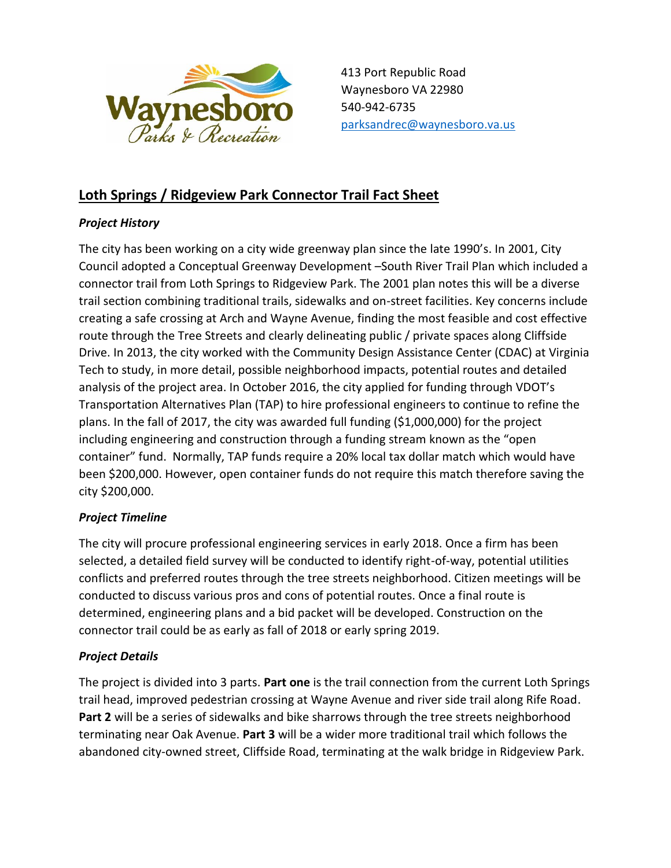

# **Loth Springs / Ridgeview Park Connector Trail Fact Sheet**

## *Project History*

The city has been working on a city wide greenway plan since the late 1990's. In 2001, City Council adopted a Conceptual Greenway Development –South River Trail Plan which included a connector trail from Loth Springs to Ridgeview Park. The 2001 plan notes this will be a diverse trail section combining traditional trails, sidewalks and on-street facilities. Key concerns include creating a safe crossing at Arch and Wayne Avenue, finding the most feasible and cost effective route through the Tree Streets and clearly delineating public / private spaces along Cliffside Drive. In 2013, the city worked with the Community Design Assistance Center (CDAC) at Virginia Tech to study, in more detail, possible neighborhood impacts, potential routes and detailed analysis of the project area. In October 2016, the city applied for funding through VDOT's Transportation Alternatives Plan (TAP) to hire professional engineers to continue to refine the plans. In the fall of 2017, the city was awarded full funding (\$1,000,000) for the project including engineering and construction through a funding stream known as the "open container" fund. Normally, TAP funds require a 20% local tax dollar match which would have been \$200,000. However, open container funds do not require this match therefore saving the city \$200,000.

## *Project Timeline*

The city will procure professional engineering services in early 2018. Once a firm has been selected, a detailed field survey will be conducted to identify right-of-way, potential utilities conflicts and preferred routes through the tree streets neighborhood. Citizen meetings will be conducted to discuss various pros and cons of potential routes. Once a final route is determined, engineering plans and a bid packet will be developed. Construction on the connector trail could be as early as fall of 2018 or early spring 2019.

## *Project Details*

The project is divided into 3 parts. **Part one** is the trail connection from the current Loth Springs trail head, improved pedestrian crossing at Wayne Avenue and river side trail along Rife Road. **Part 2** will be a series of sidewalks and bike sharrows through the tree streets neighborhood terminating near Oak Avenue. **Part 3** will be a wider more traditional trail which follows the abandoned city-owned street, Cliffside Road, terminating at the walk bridge in Ridgeview Park.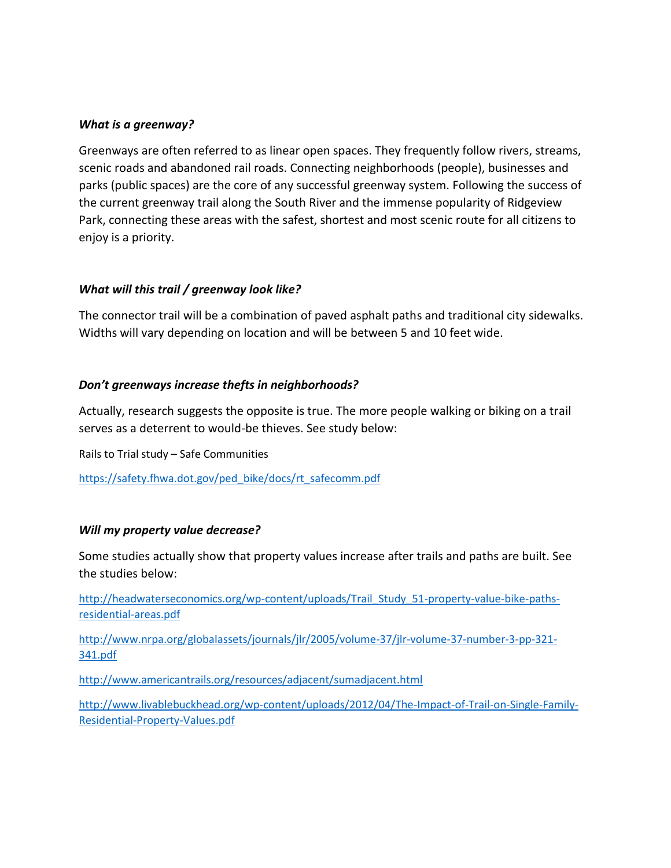#### *What is a greenway?*

Greenways are often referred to as linear open spaces. They frequently follow rivers, streams, scenic roads and abandoned rail roads. Connecting neighborhoods (people), businesses and parks (public spaces) are the core of any successful greenway system. Following the success of the current greenway trail along the South River and the immense popularity of Ridgeview Park, connecting these areas with the safest, shortest and most scenic route for all citizens to enjoy is a priority.

#### *What will this trail / greenway look like?*

The connector trail will be a combination of paved asphalt paths and traditional city sidewalks. Widths will vary depending on location and will be between 5 and 10 feet wide.

#### *Don't greenways increase thefts in neighborhoods?*

Actually, research suggests the opposite is true. The more people walking or biking on a trail serves as a deterrent to would-be thieves. See study below:

Rails to Trial study – Safe Communities

[https://safety.fhwa.dot.gov/ped\\_bike/docs/rt\\_safecomm.pdf](https://safety.fhwa.dot.gov/ped_bike/docs/rt_safecomm.pdf)

#### *Will my property value decrease?*

Some studies actually show that property values increase after trails and paths are built. See the studies below:

[http://headwaterseconomics.org/wp-content/uploads/Trail\\_Study\\_51-property-value-bike-paths](http://headwaterseconomics.org/wp-content/uploads/Trail_Study_51-property-value-bike-paths-residential-areas.pdf)[residential-areas.pdf](http://headwaterseconomics.org/wp-content/uploads/Trail_Study_51-property-value-bike-paths-residential-areas.pdf)

[http://www.nrpa.org/globalassets/journals/jlr/2005/volume-37/jlr-volume-37-number-3-pp-321-](http://www.nrpa.org/globalassets/journals/jlr/2005/volume-37/jlr-volume-37-number-3-pp-321-341.pdf) [341.pdf](http://www.nrpa.org/globalassets/journals/jlr/2005/volume-37/jlr-volume-37-number-3-pp-321-341.pdf)

<http://www.americantrails.org/resources/adjacent/sumadjacent.html>

[http://www.livablebuckhead.org/wp-content/uploads/2012/04/The-Impact-of-Trail-on-Single-Family-](http://www.livablebuckhead.org/wp-content/uploads/2012/04/The-Impact-of-Trail-on-Single-Family-Residential-Property-Values.pdf)[Residential-Property-Values.pdf](http://www.livablebuckhead.org/wp-content/uploads/2012/04/The-Impact-of-Trail-on-Single-Family-Residential-Property-Values.pdf)